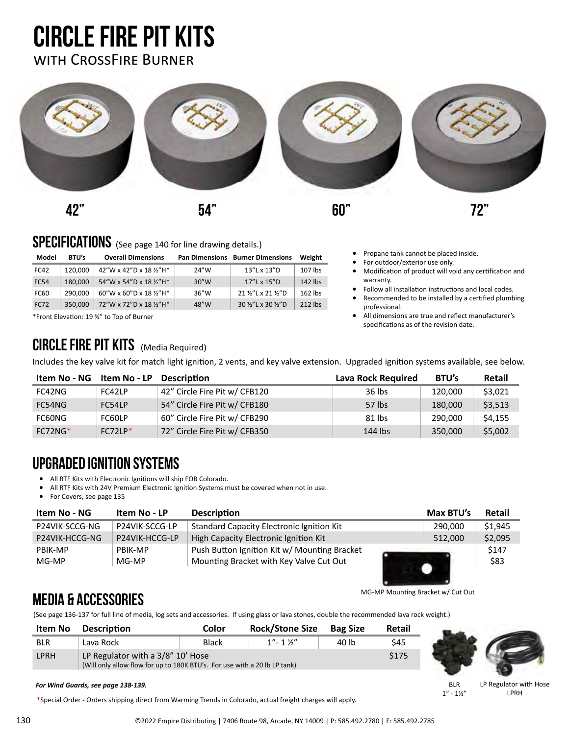### circle fire pit kits with CrossFire Burner



#### SPECIFICATIONS (See page 140 for line drawing details.)

| Model       | <b>BTU's</b> | <b>Overall Dimensions</b> |       | <b>Pan Dimensions Burner Dimensions</b> | Weight    |
|-------------|--------------|---------------------------|-------|-----------------------------------------|-----------|
| FC42        | 120.000      | 42"W x 42"D x 18 1/2"H*   | 24"W  | 13"L x 13"D                             | 107 lbs   |
| <b>FC54</b> | 180.000      | 54"W x 54"D x 18 1/2"H*   | 30''W | 17"L x 15"D                             | $142$ lbs |
| FC60        | 290.000      | 60"W x 60"D x 18 1/2"H*   | 36''W | 21 %"L x 21 %"D                         | $162$ lbs |
| <b>FC72</b> | 350.000      | 72"W x 72"D x 18 1/2"H*   | 48"W  | 30 1/2"L x 30 1/2"D                     | 212 lbs   |

\*Front Elevation: 19 ¾" to Top of Burner

#### CIRCLE FIRE PIT KITS (Media Required)

Includes the key valve kit for match light ignition, 2 vents, and key valve extension. Upgraded ignition systems available, see below.

| Item No - NG | Item No - LP | <b>Description</b>            | Lava Rock Required | BTU's   | Retail  |
|--------------|--------------|-------------------------------|--------------------|---------|---------|
| FC42NG       | FC42LP       | 42" Circle Fire Pit w/ CFB120 | 36 lbs             | 120,000 | \$3,021 |
| FC54NG       | FC54LP       | 54" Circle Fire Pit w/ CFB180 | 57 lbs             | 180.000 | \$3,513 |
| FC60NG       | FC60LP       | 60" Circle Fire Pit w/ CFB290 | $81$ lbs           | 290.000 | \$4,155 |
| $FC72NG*$    | $FC72LP*$    | 72" Circle Fire Pit w/ CFB350 | 144 lbs            | 350.000 | \$5,002 |

#### UpgraDed ignition systems

- All RTF Kits with Electronic Ignitions will ship FOB Colorado.
- All RTF Kits with 24V Premium Electronic Ignition Systems must be covered when not in use.
- For Covers, see page 135

| Item No - NG   | Item No - LP   | <b>Description</b>                           | Max BTU's | Retail  |
|----------------|----------------|----------------------------------------------|-----------|---------|
| P24VIK-SCCG-NG | P24VIK-SCCG-LP | Standard Capacity Electronic Ignition Kit    | 290,000   | \$1,945 |
| P24VIK-HCCG-NG | P24VIK-HCCG-LP | High Capacity Electronic Ignition Kit        | 512.000   | \$2,095 |
| PBIK-MP        | PBIK-MP        | Push Button Ignition Kit w/ Mounting Bracket |           | \$147   |
| MG-MP          | MG-MP          | Mounting Bracket with Key Valve Cut Out      |           | \$83    |

MG-MP Mounting Bracket w/ Cut Out

• Propane tank cannot be placed inside. For outdoor/exterior use only.

specifications as of the revision date.

warranty.

professional.

• Modification of product will void any certification and

Follow all installation instructions and local codes. • Recommended to be installed by a certified plumbing

• All dimensions are true and reflect manufacturer's

#### Media & Accessories

(See page 136-137 for full line of media, log sets and accessories. If using glass or lava stones, double the recommended lava rock weight.)

| $1'' - 1$ $1''$<br>40 lb<br>\$45<br><b>Black</b><br>Lava Rock<br>LP Regulator with a 3/8" 10' Hose<br>\$175<br>(Will only allow flow for up to 180K BTU's. For use with a 20 lb LP tank) | <b>Item No</b> | <b>Description</b> | Color | <b>Rock/Stone Size</b> | <b>Bag Size</b> | <b>Retail</b> |  |
|------------------------------------------------------------------------------------------------------------------------------------------------------------------------------------------|----------------|--------------------|-------|------------------------|-----------------|---------------|--|
| <b>LPRH</b>                                                                                                                                                                              | <b>BLR</b>     |                    |       |                        |                 |               |  |
|                                                                                                                                                                                          |                |                    |       |                        |                 |               |  |



#### *For Wind Guards, see page 138-139.*

\*Special Order - Orders shipping direct from Warming Trends in Colorado, actual freight charges will apply.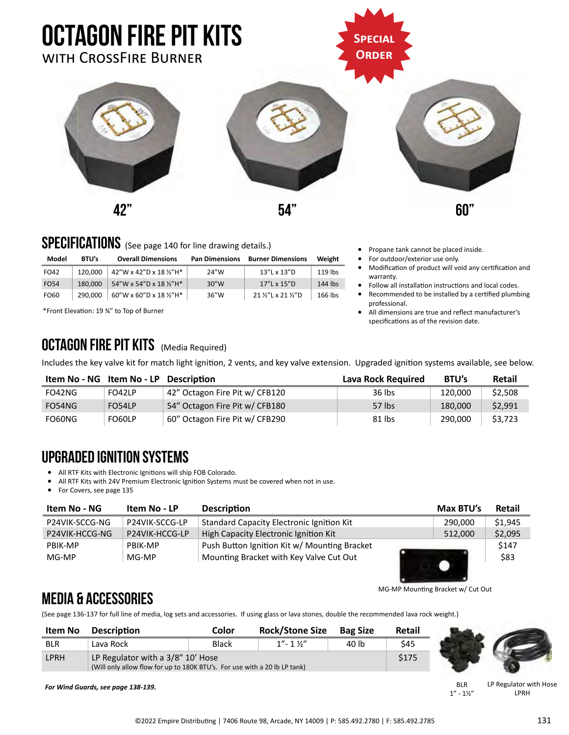

#### SPECIFICATIONS (See page 140 for line drawing details.)

| Model              | <b>BTU's</b> | <b>Overall Dimensions</b>                   |      | <b>Pan Dimensions Burner Dimensions</b> | Weight    |
|--------------------|--------------|---------------------------------------------|------|-----------------------------------------|-----------|
| FO42               | 120.000      | $142''$ W x 42"D x 18 ½"H*                  | 24"W | 13"L x 13"D                             | 119 lbs   |
| $E$ $\cap$ $E$ $A$ | 100000       | $L_A''(M)$ $L_A''(N)$ $L_A''(N)$ $L_A''(N)$ | 20'' | $17''$ $\sqrt{15''}$ $\sqrt{25}$        | $111$ lbc |

| FO54 | 180,000   54"W x 54"D x 18 $\frac{1}{2}$ "H* | 30''W | 17"L x 15"D                   | 144 lbs |
|------|----------------------------------------------|-------|-------------------------------|---------|
| FO60 | 290,000   60"W x 60"D x 18 ½"H*              | 36″W  | 21 1/2"L x 21 1/2"D   166 lbs |         |
|      |                                              |       |                               |         |

\*Front Elevation: 19 ¾" to Top of Burner

### OCTAGON FIRE PIT KITS (Media Required)

- Propane tank cannot be placed inside.
- For outdoor/exterior use only.
- Modification of product will void any certification and warranty.
- Follow all installation instructions and local codes.
- Recommended to be installed by a certified plumbing professional.
- All dimensions are true and reflect manufacturer's specifications as of the revision date.
- **Item No NG Item No LP Description Lava Rock Required BTU's Retail** Includes the key valve kit for match light ignition, 2 vents, and key valve extension. Upgraded ignition systems available, see below.

|        |        | . ועווענושעו                   | Lava Rock Regalica | ---     | .       |
|--------|--------|--------------------------------|--------------------|---------|---------|
| FO42NG | FO42LP | 42" Octagon Fire Pit w/ CFB120 | 36 lbs             | 120,000 | \$2,508 |
| FO54NG | FO54LP | 54" Octagon Fire Pit w/ CFB180 | 57 lbs             | 180,000 | \$2,991 |
| FO60NG | FO60LP | 60" Octagon Fire Pit w/ CFB290 | 81 lbs             | 290.000 | \$3,723 |

#### UpgraDed ignition systems

- All RTF Kits with Electronic Ignitions will ship FOB Colorado.
- All RTF Kits with 24V Premium Electronic Ignition Systems must be covered when not in use.<br>• For Covers, see page 135

• For Covers, see page 135

| Item No - NG   | Item No - LP   | <b>Description</b>                           | Max BTU's | Retail  |
|----------------|----------------|----------------------------------------------|-----------|---------|
| P24VIK-SCCG-NG | P24VIK-SCCG-LP | Standard Capacity Electronic Ignition Kit    | 290.000   | \$1,945 |
| P24VIK-HCCG-NG | P24VIK-HCCG-LP | High Capacity Electronic Ignition Kit        | 512.000   | \$2,095 |
| PBIK-MP        | PBIK-MP        | Push Button Ignition Kit w/ Mounting Bracket |           | \$147   |
| MG-MP          | MG-MP          | Mounting Bracket with Key Valve Cut Out      |           | \$83    |
|                |                |                                              |           |         |

MG-MP Mounting Bracket w/ Cut Out

#### Media & Accessories

(See page 136-137 for full line of media, log sets and accessories. If using glass or lava stones, double the recommended lava rock weight.)

| <b>Item No</b> | <b>Description</b>                                                                                             | Color | <b>Rock/Stone Size</b> | <b>Bag Size</b> | Retail |  |
|----------------|----------------------------------------------------------------------------------------------------------------|-------|------------------------|-----------------|--------|--|
| <b>BLR</b>     | Lava Rock                                                                                                      | Black | $1" - 1$ %"            | 40 lb           | \$45   |  |
| LPRH           | LP Regulator with a 3/8" 10' Hose<br>(Will only allow flow for up to 180K BTU's. For use with a 20 lb LP tank) |       |                        |                 | \$175  |  |

*For Wind Guards, see page 138-139.*

BLR  $1'' - 1\frac{1}{2}''$ LP Regulator with Hose LPRH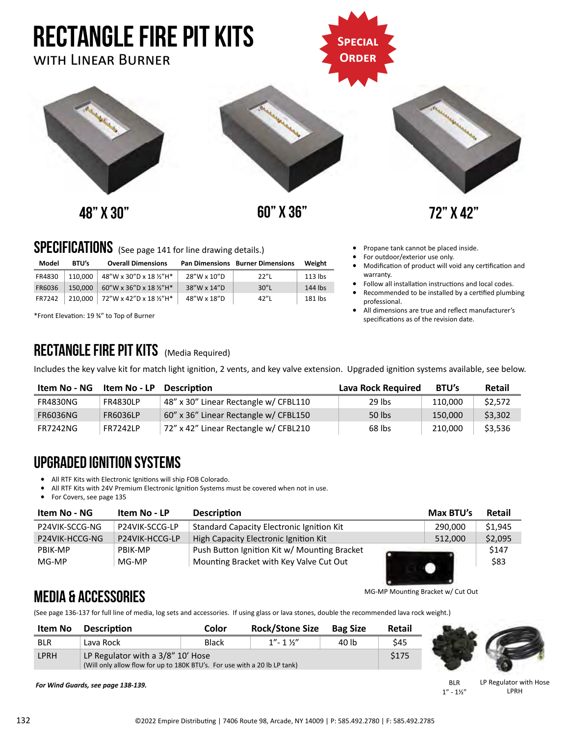

- Follow all installation instructions and local codes. • Recommended to be installed by a certified plumbing
- professional. • All dimensions are true and reflect manufacturer's specifications as of the revision date.

\*Front Elevation: 19 ¾" to Top of Burner

#### RECTANGLE FIRE PIT KITS (Media Required)

Includes the key valve kit for match light ignition, 2 vents, and key valve extension. Upgraded ignition systems available, see below.

| Item No - NG    | Item No - LP    | <b>Description</b>                    | Lava Rock Required | <b>BTU's</b> | Retail  |
|-----------------|-----------------|---------------------------------------|--------------------|--------------|---------|
| <b>FR4830NG</b> | <b>FR4830LP</b> | 48" x 30" Linear Rectangle w/ CFBL110 | 29 lbs             | 110,000      | \$2,572 |
| <b>FR6036NG</b> | <b>FR6036LP</b> | 60" x 36" Linear Rectangle w/ CFBL150 | 50 lbs             | 150,000      | \$3,302 |
| <b>FR7242NG</b> | <b>FR7242LP</b> | 72" x 42" Linear Rectangle w/ CFBL210 | 68 lbs             | 210,000      | \$3,536 |

#### Upgraded ignition systems

• All RTF Kits with Electronic Ignitions will ship FOB Colorado.

All RTF Kits with 24V Premium Electronic Ignition Systems must be covered when not in use.

FR6036 150,000 60"W x 36"D x 18 ½"H\* 38"W x 14"D 30"L 144 lbs FR7242 210,000 72"W x 42"D x 18 ½"H\* 48"W x 18"D 42"L 181 lbs

• For Covers, see page 135

| Item No - NG   | Item No - LP   | <b>Description</b>                               | Max BTU's | Retail  |
|----------------|----------------|--------------------------------------------------|-----------|---------|
| P24VIK-SCCG-NG | P24VIK-SCCG-LP | <b>Standard Capacity Electronic Ignition Kit</b> | 290.000   | \$1,945 |
| P24VIK-HCCG-NG | P24VIK-HCCG-LP | High Capacity Electronic Ignition Kit            | 512.000   | \$2,095 |
| PBIK-MP        | PBIK-MP        | Push Button Ignition Kit w/ Mounting Bracket     |           | \$147   |
| MG-MP          | MG-MP          | Mounting Bracket with Key Valve Cut Out          |           | \$83    |

#### Media & Accessories

(See page 136-137 for full line of media, log sets and accessories. If using glass or lava stones, double the recommended lava rock weight.)

| Item No    | <b>Description</b>                                                                                             | Color | <b>Rock/Stone Size</b>  | <b>Bag Size</b> | Retail |  |
|------------|----------------------------------------------------------------------------------------------------------------|-------|-------------------------|-----------------|--------|--|
| <b>BLR</b> | Lava Rock                                                                                                      | Black | $1'' - 1$ $\frac{1}{2}$ | 40 lb           | \$45   |  |
| LPRH       | LP Regulator with a 3/8" 10' Hose<br>(Will only allow flow for up to 180K BTU's. For use with a 20 lb LP tank) |       |                         |                 | \$175  |  |

*For Wind Guards, see page 138-139.*

BLR  $1'' - 1\frac{1}{2}$ 

MG-MP Mounting Bracket w/ Cut Out

LP Regulator with Hose LPRH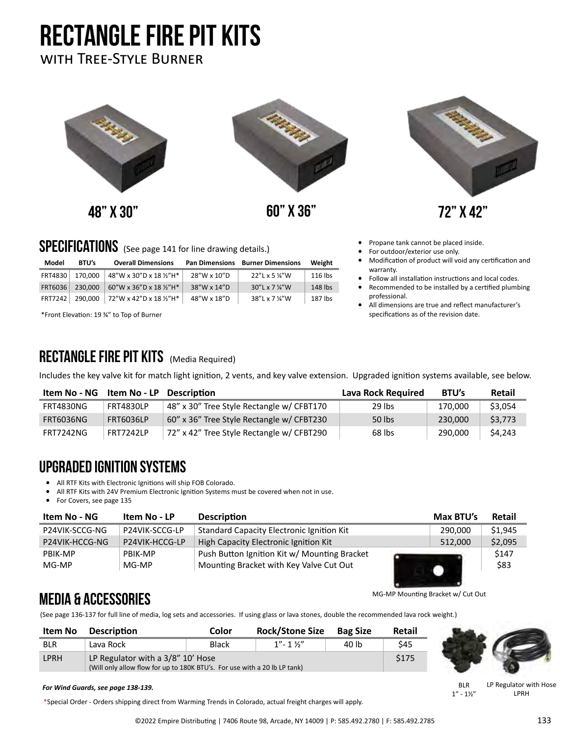# rectangle fire pit kits

#### with Tree-Style Burner



48" x 30" 60" x 36" 72" x 42"



- Propane tank cannot be placed inside.
- For outdoor/exterior use only.
- Modification of product will void any certification and warranty.
- Follow all installation instructions and local codes.
- Recommended to be installed by a certified plumbing professional.
- All dimensions are true and reflect manufacturer's specifications as of the revision date.

### SPECIFICATIONS (See page 141 for line drawing details.)

| Model   | <b>BTU's</b> | <b>Overall Dimensions</b>       |             | <b>Pan Dimensions Burner Dimensions</b> | Weight  |
|---------|--------------|---------------------------------|-------------|-----------------------------------------|---------|
| FRT4830 | 170.000      | 48"W x 30"D x 18 1/2"H*         | 28"W x 10"D | 22"L x 5 %"W                            | 116 lbs |
| FRT6036 | 230.000      | 60"W x 36"D x 18 1/2"H*         | 38"W x 14"D | $30''$ L x 7 $\frac{1}{4}$ W            | 148 lbs |
| FRT7242 |              | 290,000 72"W x 42"D x 18 1/2"H* | 48"W x 18"D | 38"L x 7 1/4"W                          | 187 lbs |

\*Front Elevation: 19 ¾" to Top of Burner

#### RECTANGLE FIRE PIT KITS (Media Required)

Includes the key valve kit for match light ignition, 2 vents, and key valve extension. Upgraded ignition systems available, see below.

| Item No - NG     | <b>Item No - LP</b> Description |                                           | Lava Rock Required | BTU's   | <b>Retail</b> |
|------------------|---------------------------------|-------------------------------------------|--------------------|---------|---------------|
| FRT4830NG        | <b>FRT4830LP</b>                | 48" x 30" Tree Style Rectangle w/ CFBT170 | 29 lbs             | 170.000 | \$3.054       |
| <b>FRT6036NG</b> | FRT6036LP                       | 60" x 36" Tree Style Rectangle w/ CFBT230 | 50 lbs             | 230,000 | \$3.773       |
| <b>FRT7242NG</b> | FRT7242LP                       | 72" x 42" Tree Style Rectangle w/ CFBT290 | 68 lbs             | 290,000 | \$4.243       |

#### Upgraded ignition systems

- All RTF Kits with Electronic Ignitions will ship FOB Colorado.
- All RTF Kits with 24V Premium Electronic Ignition Systems must be covered when not in use.
- For Covers, see page 135

| Item No - NG   | Item No - LP   | <b>Description</b>                               | Max BTU's | Retail  |
|----------------|----------------|--------------------------------------------------|-----------|---------|
| P24VIK-SCCG-NG | P24VIK-SCCG-LP | <b>Standard Capacity Electronic Ignition Kit</b> | 290.000   | \$1.945 |
| P24VIK-HCCG-NG | P24VIK-HCCG-LP | High Capacity Electronic Ignition Kit            | 512.000   | \$2,095 |
| PBIK-MP        | PBIK-MP        | Push Button Ignition Kit w/ Mounting Bracket     |           | \$147   |
| MG-MP          | MG-MP          | Mounting Bracket with Key Valve Cut Out          |           | \$83    |

#### Media & Accessories

(See page 136-137 for full line of media, log sets and accessories. If using glass or lava stones, double the recommended lava rock weight.)

| <b>Item No</b> | <b>Description</b>                                                                                             | Color        | <b>Rock/Stone Size</b> | <b>Bag Size</b> | Retail |  |
|----------------|----------------------------------------------------------------------------------------------------------------|--------------|------------------------|-----------------|--------|--|
| <b>BLR</b>     | Lava Rock                                                                                                      | <b>Black</b> | $1'' - 1$ $1''$        | 40 lb           | \$45   |  |
| <b>LPRH</b>    | LP Regulator with a 3/8" 10' Hose<br>(Will only allow flow for up to 180K BTU's. For use with a 20 lb LP tank) |              |                        |                 |        |  |



\*Special Order - Orders shipping direct from Warming Trends in Colorado, actual freight charges will apply.

LP Regulator with Hose LPRH

BLR  $1'' - 1\frac{1}{2}''$ 

MG-MP Mounting Bracket w/ Cut Out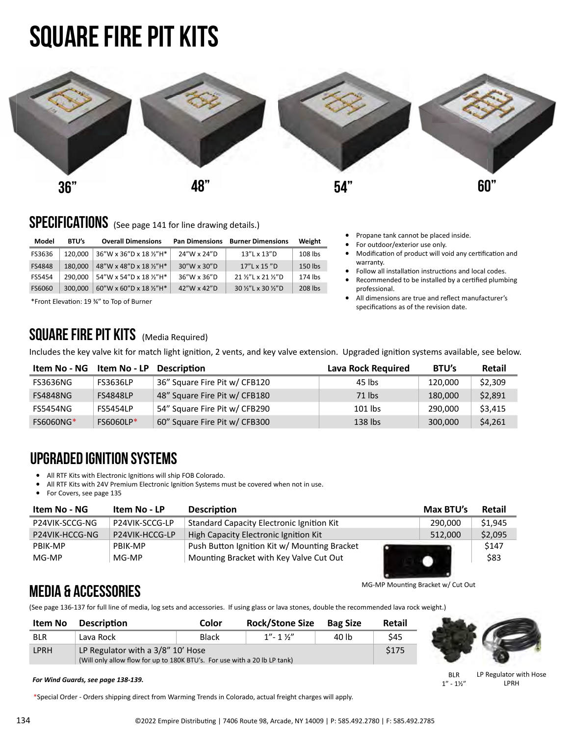# Square fire pit kits



#### SPECIFICATIONS (See page 141 for line drawing details.)

| Model  | <b>BTU's</b> | <b>Overall Dimensions</b> |             | <b>Pan Dimensions Burner Dimensions</b> | Weight  |
|--------|--------------|---------------------------|-------------|-----------------------------------------|---------|
| FS3636 | 120.000      | 36"W x 36"D x 18 1/2"H*   | 24"W x 24"D | 13"L x 13"D                             | 108 lbs |
| FS4848 | 180.000      | 48"W x 48"D x 18 1/2"H*   | 30"W x 30"D | $17''$ L x $15''$ D                     | 150 lbs |
| FS5454 | 290.000      | 54"W x 54"D x 18 1/2"H*   | 36"W x 36"D | 21 1/2"L x 21 1/2"D                     | 174 lbs |
| FS6060 | 300.000      | 60"W x 60"D x 18 1/2"H*   | 42"W x 42"D | 30 1/2"L x 30 1/2"D                     | 208 lbs |

\*Front Elevation: 19 ¾" to Top of Burner

#### SQUARE FIRE PIT KITS (Media Required)

Includes the key valve kit for match light ignition, 2 vents, and key valve extension. Upgraded ignition systems available, see below.

| Item No - NG     | Item No - LP     | <b>Description</b>            | Lava Rock Required | BTU's   | Retail  |
|------------------|------------------|-------------------------------|--------------------|---------|---------|
| FS3636NG         | <b>FS3636LP</b>  | 36" Square Fire Pit w/ CFB120 | 45 lbs             | 120,000 | \$2,309 |
| <b>FS4848NG</b>  | <b>FS4848LP</b>  | 48" Square Fire Pit w/ CFB180 | $71$ lbs           | 180,000 | \$2,891 |
| FS5454NG         | <b>FS5454LP</b>  | 54" Square Fire Pit w/ CFB290 | $101$ lbs          | 290,000 | \$3,415 |
| <b>FS6060NG*</b> | <b>FS6060LP*</b> | 60" Square Fire Pit w/ CFB300 | $138$ lbs          | 300,000 | \$4,261 |

#### Upgraded ignition systems

- All RTF Kits with Electronic Ignitions will ship FOB Colorado.
- All RTF Kits with 24V Premium Electronic Ignition Systems must be covered when not in use.<br>• For Covers, see page 135
- For Covers, see page 135

| Item No - NG   | Item No - LP   | <b>Description</b>                               | Max BTU's | Retail  |
|----------------|----------------|--------------------------------------------------|-----------|---------|
| P24VIK-SCCG-NG | P24VIK-SCCG-LP | <b>Standard Capacity Electronic Ignition Kit</b> | 290.000   | \$1,945 |
| P24VIK-HCCG-NG | P24VIK-HCCG-LP | High Capacity Electronic Ignition Kit            | 512.000   | \$2,095 |
| PBIK-MP        | PRIK-MP        | Push Button Ignition Kit w/ Mounting Bracket     |           | \$147   |
| MG-MP          | MG-MP          | Mounting Bracket with Key Valve Cut Out          |           | \$83    |

MG-MP Mounting Bracket w/ Cut Out

 $\sim$ 

• Propane tank cannot be placed inside. For outdoor/exterior use only.

specifications as of the revision date.

warranty.

professional.

• Modification of product will void any certification and

• Follow all installation instructions and local codes. • Recommended to be installed by a certified plumbing

• All dimensions are true and reflect manufacturer's

#### Media & Accessories

(See page 136-137 for full line of media, log sets and accessories. If using glass or lava stones, double the recommended lava rock weight.)

| Item No    | <b>Description</b>                                                                                             | Color | <b>Rock/Stone Size</b> | <b>Bag Size</b> | <b>Retail</b> |  |
|------------|----------------------------------------------------------------------------------------------------------------|-------|------------------------|-----------------|---------------|--|
| <b>BLR</b> | Lava Rock                                                                                                      | Black | $1'' - 1$ $1''$        | 40 lb           | \$45          |  |
| LPRH       | LP Regulator with a 3/8" 10' Hose<br>(Will only allow flow for up to 180K BTU's. For use with a 20 lb LP tank) |       |                        |                 |               |  |

*For Wind Guards, see page 138-139.*

\*Special Order - Orders shipping direct from Warming Trends in Colorado, actual freight charges will apply.

BLR  $1'' - 1\frac{1}{2}''$ LP Regulator with Hose LPRH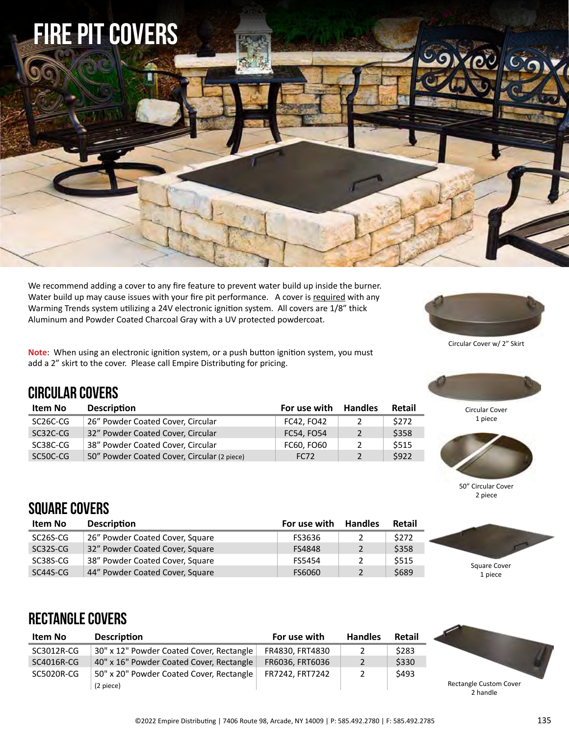

We recommend adding a cover to any fire feature to prevent water build up inside the burner. Water build up may cause issues with your fire pit performance. A cover is required with any Warming Trends system utilizing a 24V electronic ignition system. All covers are 1/8" thick Aluminum and Powder Coated Charcoal Gray with a UV protected powdercoat.

**Note**: When using an electronic ignition system, or a push button ignition system, you must add a 2" skirt to the cover. Please call Empire Distributing for pricing.

**Item No Description For use with Handles Retail** SC26C-CG 26" Powder Coated Cover, Circular FC42, FO42 2 \$272 SC32C-CG 32" Powder Coated Cover, Circular FC54, FO54 2 \$358 SC38C-CG 38" Powder Coated Cover, Circular FC60, FO60 2 \$515 SC50C-CG 50" Powder Coated Cover, Circular (2 piece) FC72 2 \$922



Circular Cover w/ 2" Skirt



Circular Cover 1 piece



50" Circular Cover 2 piece

Square Cover 1 piece

#### square COVERS

Circular COVERS

| Item No  | <b>Description</b>              | For use with  | <b>Handles</b> | Retail |
|----------|---------------------------------|---------------|----------------|--------|
| SC26S-CG | 26" Powder Coated Cover, Square | FS3636        | 2              | \$272  |
| SC32S-CG | 32" Powder Coated Cover, Square | <b>FS4848</b> | $\overline{2}$ | \$358  |
| SC38S-CG | 38" Powder Coated Cover, Square | FS5454        | $\mathcal{P}$  | \$515  |
| SC44S-CG | 44" Powder Coated Cover, Square | FS6060        | $\mathbf{2}$   | \$689  |

### Rectangle COVERS

| Item No    | <b>Description</b>                       | For use with    | <b>Handles</b> | Retail |      |
|------------|------------------------------------------|-----------------|----------------|--------|------|
| SC3012R-CG | 30" x 12" Powder Coated Cover, Rectangle | FR4830, FRT4830 |                | \$283  |      |
| SC4016R-CG | 40" x 16" Powder Coated Cover, Rectangle | FR6036, FRT6036 | 2              | \$330  |      |
| SC5020R-CG | 50" x 20" Powder Coated Cover, Rectangle | FR7242. FRT7242 | 2              | \$493  |      |
|            | (2 piece)                                |                 |                |        | Rect |



2 handle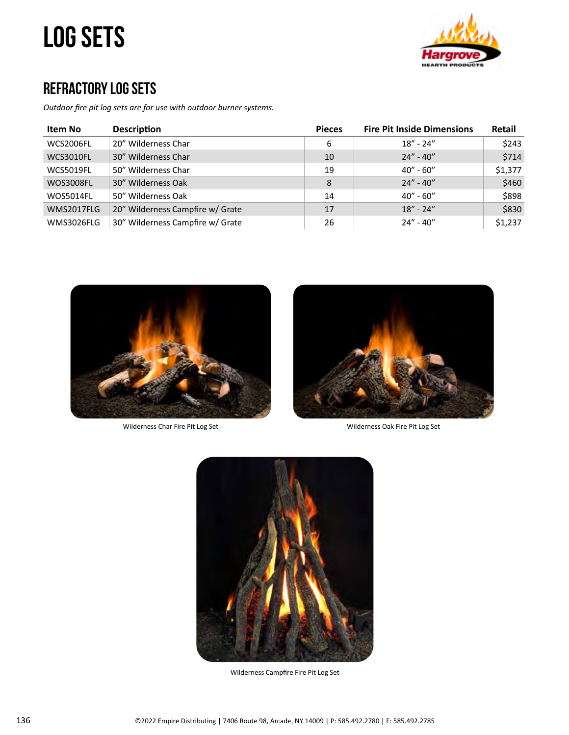# log sets



#### Refractory Log Sets

*Outdoor fire pit log sets are for use with outdoor burner systems.* 

| Item No           | <b>Description</b>               | <b>Pieces</b> | <b>Fire Pit Inside Dimensions</b> | Retail  |
|-------------------|----------------------------------|---------------|-----------------------------------|---------|
| WCS2006FL         | 20" Wilderness Char              | 6             | $18" - 24"$                       | \$243   |
| WCS3010FL         | 30" Wilderness Char              | 10            | $24'' - 40''$                     | \$714   |
| WCS5019FL         | 50" Wilderness Char              | 19            | $40'' - 60''$                     | \$1,377 |
| <b>WOS3008FL</b>  | 30" Wilderness Oak               | 8             | $24'' - 40''$                     | \$460   |
| WOS5014FL         | 50" Wilderness Oak               | 14            | $40'' - 60''$                     | \$898   |
| WMS2017FLG        | 20" Wilderness Campfire w/ Grate | 17            | $18" - 24"$                       | \$830   |
| <b>WMS3026FLG</b> | 30" Wilderness Campfire w/ Grate | 26            | $24'' - 40''$                     | \$1,237 |



Wilderness Char Fire Pit Log Set Wilderness Oak Fire Pit Log Set





Wilderness Campfire Fire Pit Log Set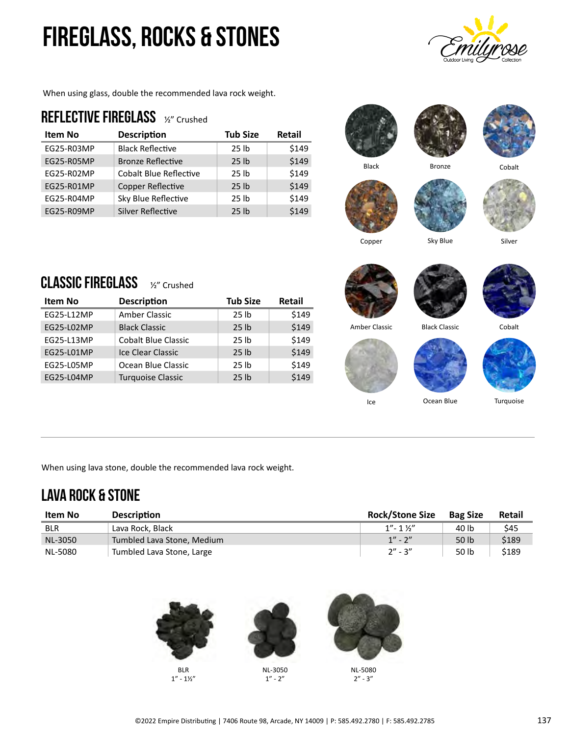# Fireglass, Rocks & Stones

When using glass, double the recommended lava rock weight.

#### REFLECTIVE FIREGLASS 1/2" Crushed

| <b>Item No</b> | <b>Description</b>            | <b>Tub Size</b>  | <b>Retail</b> |
|----------------|-------------------------------|------------------|---------------|
| EG25-R03MP     | <b>Black Reflective</b>       | 25 <sub>1b</sub> | \$149         |
| EG25-R05MP     | <b>Bronze Reflective</b>      | 25 <sub>1b</sub> | \$149         |
| EG25-R02MP     | <b>Cobalt Blue Reflective</b> | 25 <sub>1b</sub> | \$149         |
| EG25-R01MP     | Copper Reflective             | 25 <sub>1b</sub> | \$149         |
| EG25-R04MP     | Sky Blue Reflective           | 25 <sub>1b</sub> | \$149         |
| EG25-R09MP     | Silver Reflective             | 25 <sub>1b</sub> | \$149         |









Copper Sky Blue Silver

### CLASSIC FIREGLASS 1/2" Crushed

| Item No    | <b>Description</b>         | <b>Tub Size</b>  | <b>Retail</b> |
|------------|----------------------------|------------------|---------------|
| EG25-L12MP | Amber Classic              | 25 <sub>1b</sub> | \$149         |
| EG25-L02MP | <b>Black Classic</b>       | 25 <sub>1b</sub> | \$149         |
| EG25-L13MP | <b>Cobalt Blue Classic</b> | 25 <sub>1b</sub> | \$149         |
| EG25-L01MP | Ice Clear Classic          | 25 <sub>1b</sub> | \$149         |
| EG25-L05MP | Ocean Blue Classic         | 25 lb            | \$149         |
| EG25-L04MP | <b>Turquoise Classic</b>   | 25 <sub>th</sub> | \$149         |











Turquoise

When using lava stone, double the recommended lava rock weight.

### lava rock & STONE

| Item No    | <b>Description</b>         | <b>Rock/Stone Size</b> | <b>Bag Size</b> | Retail |
|------------|----------------------------|------------------------|-----------------|--------|
| <b>BLR</b> | Lava Rock, Black           | $1'' - 1$ $1''$        | 40 lb           | S45    |
| NL-3050    | Tumbled Lava Stone, Medium | $1'' - 2''$            | 50 lb           | \$189  |
| NL-5080    | Tumbled Lava Stone, Large  | $2'' - 3''$            | 50 lb           | \$189  |



 $1" - 1\frac{1}{2}"$ 

2" - 3"